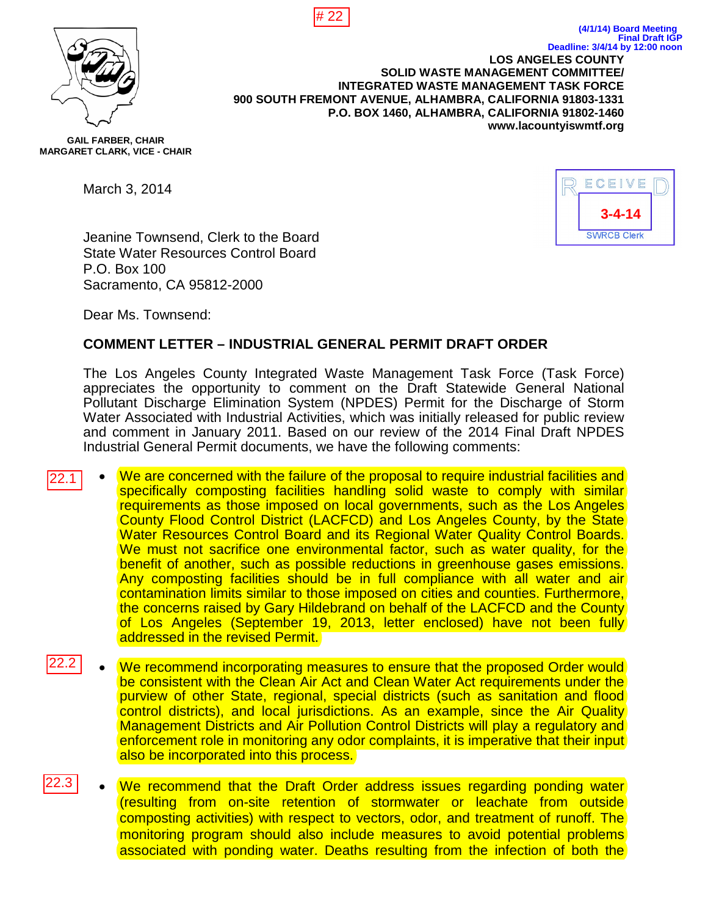



**LOS ANGELES COUNTY SOLID WASTE MANAGEMENT COMMITTEE/ INTEGRATED WASTE MANAGEMENT TASK FORCE 900 SOUTH FREMONT AVENUE, ALHAMBRA, CALIFORNIA 91803-1331 P.O. BOX 1460, ALHAMBRA, CALIFORNIA 91802-1460 www.lacountyiswmtf.org Deadline: 3/4/14 by 12:00 noon**

**GAIL FARBER, CHAIR MARGARET CLARK, VICE - CHAIR**

March 3, 2014



**(4/1/14) Board Meeting**

**Final Draft IGP**

Jeanine Townsend, Clerk to the Board State Water Resources Control Board P.O. Box 100 Sacramento, CA 95812-2000

Dear Ms. Townsend:

## **COMMENT LETTER – INDUSTRIAL GENERAL PERMIT DRAFT ORDER**

The Los Angeles County Integrated Waste Management Task Force (Task Force) appreciates the opportunity to comment on the Draft Statewide General National Pollutant Discharge Elimination System (NPDES) Permit for the Discharge of Storm Water Associated with Industrial Activities, which was initially released for public review and comment in January 2011. Based on our review of the 2014 Final Draft NPDES Industrial General Permit documents, we have the following comments:

- We are concerned with the failure of the proposal to require industrial facilities and specifically composting facilities handling solid waste to comply with similar requirements as those imposed on local governments, such as the Los Angeles County Flood Control District (LACFCD) and Los Angeles County, by the State Water Resources Control Board and its Regional Water Quality Control Boards. We must not sacrifice one environmental factor, such as water quality, for the benefit of another, such as possible reductions in greenhouse gases emissions. Any composting facilities should be in full compliance with all water and air contamination limits similar to those imposed on cities and counties. Furthermore, the concerns raised by Gary Hildebrand on behalf of the LACFCD and the County of Los Angeles (September 19, 2013, letter enclosed) have not been fully addressed in the revised Permit. 22.1
- We recommend incorporating measures to ensure that the proposed Order would be consistent with the Clean Air Act and Clean Water Act requirements under the purview of other State, regional, special districts (such as sanitation and flood control districts), and local jurisdictions. As an example, since the Air Quality Management Districts and Air Pollution Control Districts will play a regulatory and enforcement role in monitoring any odor complaints, it is imperative that their input also be incorporated into this process. 22.2
- We recommend that the Draft Order address issues regarding ponding water (resulting from on-site retention of stormwater or leachate from outside composting activities) with respect to vectors, odor, and treatment of runoff. The monitoring program should also include measures to avoid potential problems associated with ponding water. Deaths resulting from the infection of both the 2.3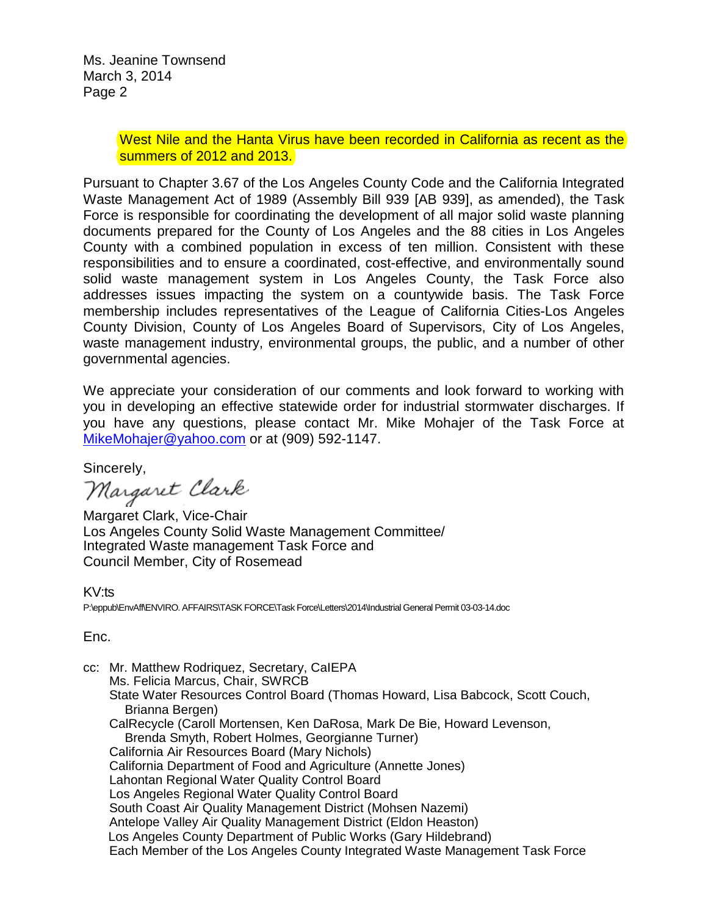Ms. Jeanine Townsend March 3, 2014 Page 2

#### West Nile and the Hanta Virus have been recorded in California as recent as the summers of 2012 and 2013.

Pursuant to Chapter 3.67 of the Los Angeles County Code and the California Integrated Waste Management Act of 1989 (Assembly Bill 939 [AB 939], as amended), the Task Force is responsible for coordinating the development of all major solid waste planning documents prepared for the County of Los Angeles and the 88 cities in Los Angeles County with a combined population in excess of ten million. Consistent with these responsibilities and to ensure a coordinated, cost-effective, and environmentally sound solid waste management system in Los Angeles County, the Task Force also addresses issues impacting the system on a countywide basis. The Task Force membership includes representatives of the League of California Cities-Los Angeles County Division, County of Los Angeles Board of Supervisors, City of Los Angeles, waste management industry, environmental groups, the public, and a number of other governmental agencies.

We appreciate your consideration of our comments and look forward to working with you in developing an effective statewide order for industrial stormwater discharges. If you have any questions, please contact Mr. Mike Mohajer of the Task Force at MikeMohajer@yahoo.com or at (909) 592-1147.

Sincerely,

Margaret Clark

Margaret Clark, Vice-Chair Los Angeles County Solid Waste Management Committee/ Integrated Waste management Task Force and Council Member, City of Rosemead

KV:ts P:\eppub\EnvAff\ENVIRO. AFFAIRS\TASK FORCE\Task Force\Letters\2014\Industrial General Permit 03-03-14.doc

Enc.

cc: Mr. Matthew Rodriquez, Secretary, CaIEPA Ms. Felicia Marcus, Chair, SWRCB State Water Resources Control Board (Thomas Howard, Lisa Babcock, Scott Couch, Brianna Bergen) CalRecycle (Caroll Mortensen, Ken DaRosa, Mark De Bie, Howard Levenson, Brenda Smyth, Robert Holmes, Georgianne Turner) California Air Resources Board (Mary Nichols) California Department of Food and Agriculture (Annette Jones) Lahontan Regional Water Quality Control Board Los Angeles Regional Water Quality Control Board South Coast Air Quality Management District (Mohsen Nazemi) Antelope Valley Air Quality Management District (Eldon Heaston) Los Angeles County Department of Public Works (Gary Hildebrand) Each Member of the Los Angeles County Integrated Waste Management Task Force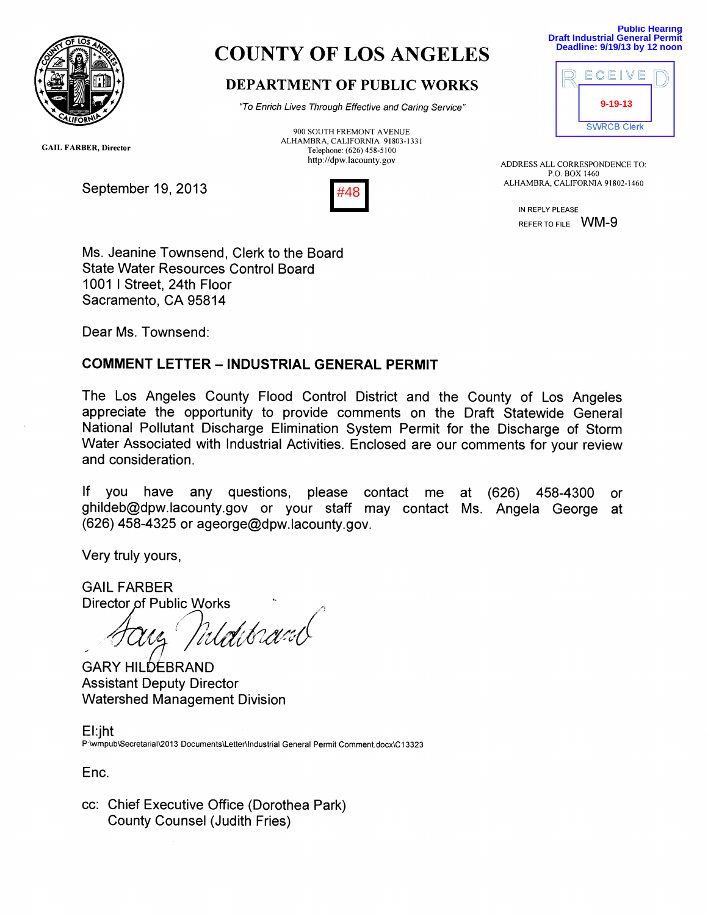

# COUNTY OF LOS ANGELES

# DEPARTMENT OF PUBLIC WORKS

"To Enrich Lives Through Effective and Caring Service"

900 SOUTH FREMONT AVENUE ALHAMBRA, CALIFORNIA 91803-1331 Telephone: (626) 458-5100 http://dpw.lacounty.gov



**Public Hearing Draft Industrial General Permit Deadline: 9/19/13 by 12 noon**



ADDRESS ALL CORRESPONDENCE TO: P.O. BOX 1460 ALHAMBRA, CALIFORNIA 91802-1460

> IN REPLY PLEASE REFER TO FILE: WM-9

GAIL FARBER, Director

September 19, 2013



Ms. Jeanine Townsend, Clerk to the Board State Water Resources Control Board 1001 I Street, 24th Floor Sacramento, CA 95814

Dear Ms. Townsend:

## COMMENT LETTER — INDUSTRIAL GENERAL PERMIT

The Los Angeles County Flood Control District and the County of Los Angeles appreciate the opportunity to provide comments on the Draft Statewide General National Pollutant Discharge Elimination System Permit for the Discharge of Storm Water Associated with Industrial Activities. Enclosed are our comments for your review and consideration.

If you have any questions, please contact me at (626) 458-4300 or ghildeb@dpw.lacounty.gov or your staff may contact Ms. Angela George at (626) 458-4325 or ageorge@dpw.lacounty.gov.

Very truly yours,

GAIL FARBER Director of Public Works<br>ATYLE MLAHCUSU

**GARY HILDEBRAND** Assistant Deputy Director Watershed Management Division

El:jht P:\wmpub\Secretarial\2013 Documents\Letter\Industrial General Permit Comment.docx\C13323

Enc.

cc: Chief Executive Office (Dorothea Park) County Counsel (Judith Fries)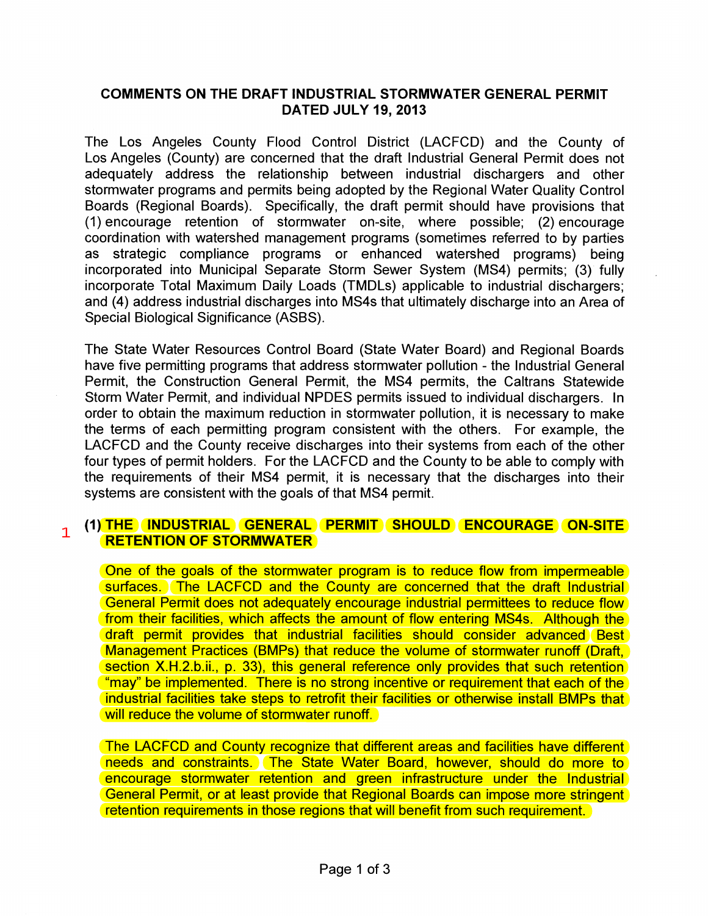#### COMMENTS ON THE DRAFT INDUSTRIAL STORMWATER GENERAL PERMIT DATED JULY 19, 2013

The Los Angeles County Flood Control District (LACFCD) and the County of Los Angeles (County) are concerned that the draft Industrial General Permit does not adequately address the relationship between industrial dischargers and other stormwater programs and permits being adopted by the Regional Water Quality Control Boards (Regional Boards). Specifically, the draft permit should have provisions that (1) encourage retention of stormwater on-site, where possible; (2) encourage coordination with watershed management programs (sometimes referred to by parties as strategic compliance programs or enhanced watershed programs) being incorporated into Municipal Separate Storm Sewer System (MS4) permits; (3) fully incorporate Total Maximum Daily Loads (TMDLs) applicable to industrial dischargers; and (4) address industrial discharges into MS4s that ultimately discharge into an Area of Special Biological Significance (ASBS).

The State Water Resources Control Board (State Water Board) and Regional Boards have five permitting programs that address stormwater pollution - the Industrial General Permit, the Construction General Permit, the MS4 permits, the Caltrans Statewide Storm Water Permit, and individual NPDES permits issued to individual dischargers. In order to obtain the maximum reduction in stormwater pollution, it is necessary to make the terms of each permitting program consistent with the others. For example, the LACFCD and the County receive discharges into their systems from each of the other four types of permit holders. For the LACFCD and the County to be able to comply with the requirements of their MS4 permit, it is necessary that the discharges into their systems are consistent with the goals of that MS4 permit.

#### (1) THE INDUSTRIAL GENERAL PERMIT SHOULD ENCOURAGE ON-SITE RETENTION OF STORMWATER 1

One of the goals of the stormwater program is to reduce flow from impermeable surfaces. The LACFCD and the County are concerned that the draft Industrial General Permit does not adequately encourage industrial permittees to reduce flow from their facilities, which affects the amount of flow entering MS4s. Although the draft permit provides that industrial facilities should consider advanced Best Management Practices (BMPs) that reduce the volume of stormwater runoff (Draft, section X.H.2.b.ii., p. 33), this general reference only provides that such retention "may" be implemented. There is no strong incentive or requirement that each of the industrial facilities take steps to retrofit their facilities or otherwise install BMPs that will reduce the volume of stormwater runoff.

The LACFCD and County recognize that different areas and facilities have different needs and constraints. The State Water Board, however, should do more to encourage stormwater retention and green infrastructure under the Industrial General Permit, or at least provide that Regional Boards can impose more stringent retention requirements in those regions that will benefit from such requirement.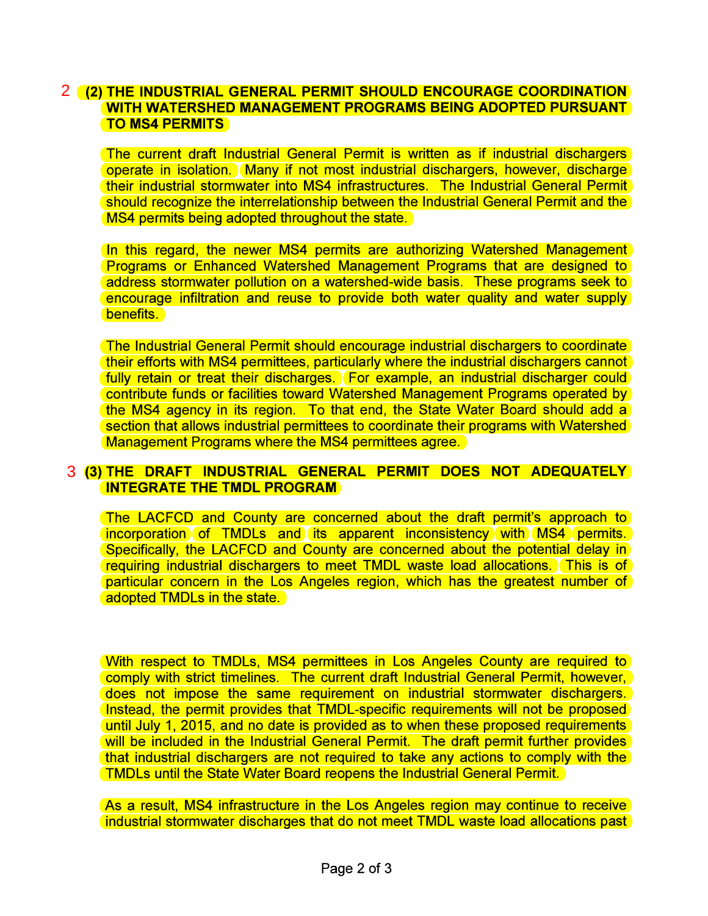### (2) THE INDUSTRIAL GENERAL PERMIT SHOULD ENCOURAGE COORDINATION 2 WITH WATERSHED MANAGEMENT PROGRAMS BEING ADOPTED PURSUANT TO MS4 PERMITS

The current draft Industrial General Permit is written as if industrial dischargers operate in isolation. Many if not most industrial dischargers, however, discharge their industrial stormwater into MS4 infrastructures. The Industrial General Permit should recognize the interrelationship between the Industrial General Permit and the MS4 permits being adopted throughout the state.

In this regard, the newer MS4 permits are authorizing Watershed Management Programs or Enhanced Watershed Management Programs that are designed to address stormwater pollution on a watershed-wide basis. These programs seek to encourage infiltration and reuse to provide both water quality and water supply benefits.

The Industrial General Permit should encourage industrial dischargers to coordinate their efforts with MS4 permittees, particularly where the industrial dischargers cannot fully retain or treat their discharges. For example, an industrial discharger could contribute funds or facilities toward Watershed Management Programs operated by the MS4 agency in its region. To that end, the State Water Board should add a section that allows industrial permittees to coordinate their programs with Watershed Management Programs where the MS4 permittees agree.

#### (3) THE DRAFT INDUSTRIAL GENERAL PERMIT DOES NOT ADEQUATELY 3INTEGRATE THE TMDL PROGRAM

The LACFCD and County are concerned about the draft permit's approach to incorporation of TMDLs and its apparent inconsistency with MS4 permits. Specifically, the LACFCD and County are concerned about the potential delay in requiring industrial dischargers to meet TMDL waste load allocations. This is of particular concern in the Los Angeles region, which has the greatest number of adopted TMDLs in the state.

With respect to TMDLs, MS4 permittees in Los Angeles County are required to comply with strict timelines. The current draft Industrial General Permit, however, does not impose the same requirement on industrial stormwater dischargers. Instead, the permit provides that TMDL-specific requirements will not be proposed until July 1, 2015, and no date is provided as to when these proposed requirements will be included in the Industrial General Permit. The draft permit further provides that industrial dischargers are not required to take any actions to comply with the TMDLs until the State Water Board reopens the Industrial General Permit.

As a result, MS4 infrastructure in the Los Angeles region may continue to receive industrial stormwater discharges that do not meet TMDL waste load allocations past